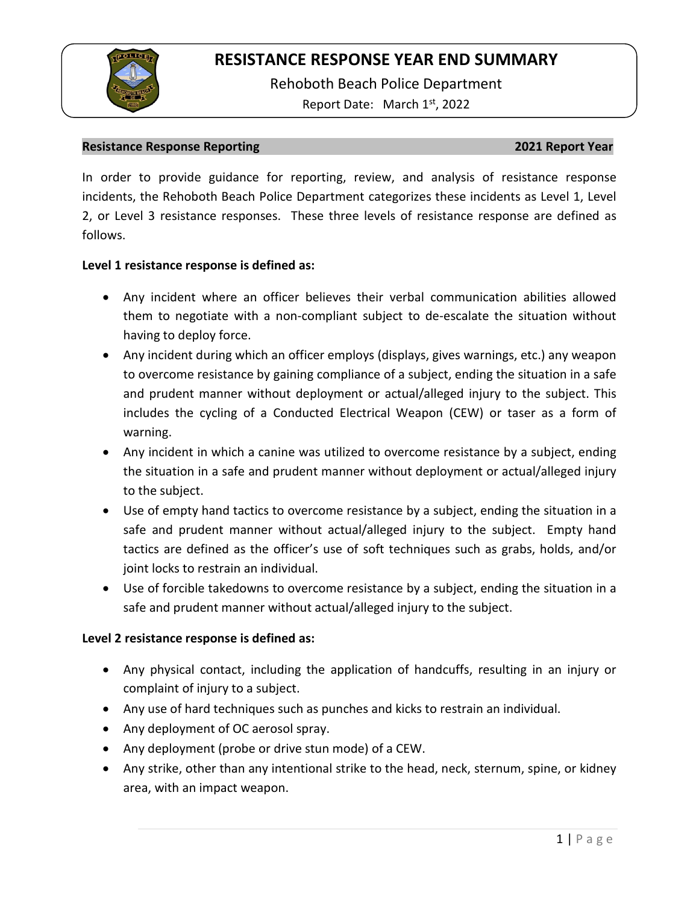

Rehoboth Beach Police Department Report Date: March 1<sup>st</sup>, 2022

### **Resistance Response Reporting 2021 Report Year**

In order to provide guidance for reporting, review, and analysis of resistance response incidents, the Rehoboth Beach Police Department categorizes these incidents as Level 1, Level 2, or Level 3 resistance responses. These three levels of resistance response are defined as follows.

## **Level 1 resistance response is defined as:**

- Any incident where an officer believes their verbal communication abilities allowed them to negotiate with a non-compliant subject to de-escalate the situation without having to deploy force.
- Any incident during which an officer employs (displays, gives warnings, etc.) any weapon to overcome resistance by gaining compliance of a subject, ending the situation in a safe and prudent manner without deployment or actual/alleged injury to the subject. This includes the cycling of a Conducted Electrical Weapon (CEW) or taser as a form of warning.
- Any incident in which a canine was utilized to overcome resistance by a subject, ending the situation in a safe and prudent manner without deployment or actual/alleged injury to the subject.
- Use of empty hand tactics to overcome resistance by a subject, ending the situation in a safe and prudent manner without actual/alleged injury to the subject. Empty hand tactics are defined as the officer's use of soft techniques such as grabs, holds, and/or joint locks to restrain an individual.
- Use of forcible takedowns to overcome resistance by a subject, ending the situation in a safe and prudent manner without actual/alleged injury to the subject.

## **Level 2 resistance response is defined as:**

- Any physical contact, including the application of handcuffs, resulting in an injury or complaint of injury to a subject.
- Any use of hard techniques such as punches and kicks to restrain an individual.
- Any deployment of OC aerosol spray.
- Any deployment (probe or drive stun mode) of a CEW.
- Any strike, other than any intentional strike to the head, neck, sternum, spine, or kidney area, with an impact weapon.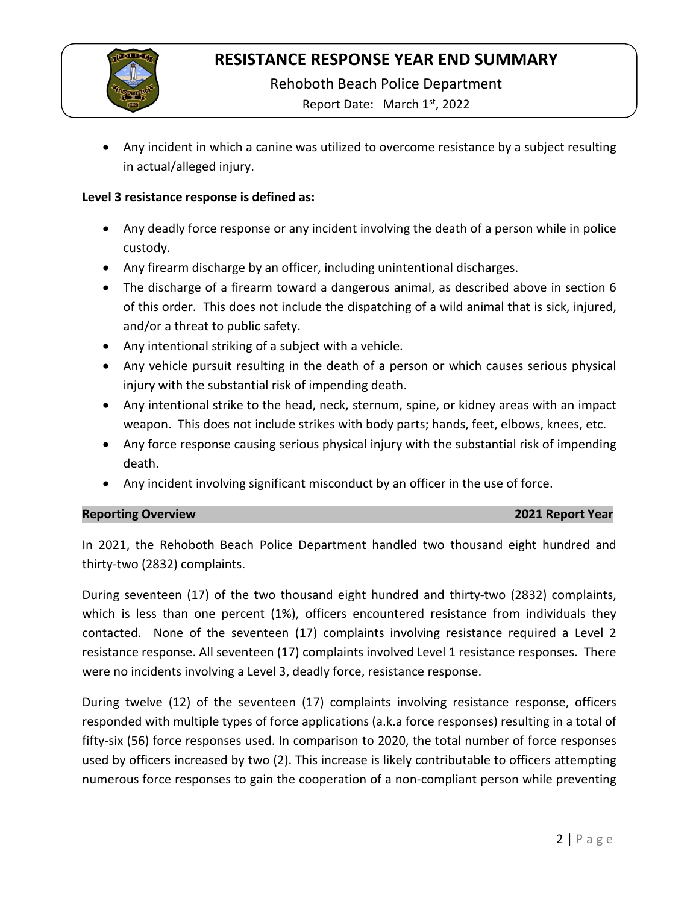

Rehoboth Beach Police Department

Report Date: March 1<sup>st</sup>, 2022

• Any incident in which a canine was utilized to overcome resistance by a subject resulting in actual/alleged injury.

## **Level 3 resistance response is defined as:**

- Any deadly force response or any incident involving the death of a person while in police custody.
- Any firearm discharge by an officer, including unintentional discharges.
- The discharge of a firearm toward a dangerous animal, as described above in section 6 of this order. This does not include the dispatching of a wild animal that is sick, injured, and/or a threat to public safety.
- Any intentional striking of a subject with a vehicle.
- Any vehicle pursuit resulting in the death of a person or which causes serious physical injury with the substantial risk of impending death.
- Any intentional strike to the head, neck, sternum, spine, or kidney areas with an impact weapon. This does not include strikes with body parts; hands, feet, elbows, knees, etc.
- Any force response causing serious physical injury with the substantial risk of impending death.
- Any incident involving significant misconduct by an officer in the use of force.

## **Reporting Overview 2021 Report Year**

In 2021, the Rehoboth Beach Police Department handled two thousand eight hundred and thirty-two (2832) complaints.

During seventeen (17) of the two thousand eight hundred and thirty-two (2832) complaints, which is less than one percent (1%), officers encountered resistance from individuals they contacted. None of the seventeen (17) complaints involving resistance required a Level 2 resistance response. All seventeen (17) complaints involved Level 1 resistance responses. There were no incidents involving a Level 3, deadly force, resistance response.

During twelve (12) of the seventeen (17) complaints involving resistance response, officers responded with multiple types of force applications (a.k.a force responses) resulting in a total of fifty-six (56) force responses used. In comparison to 2020, the total number of force responses used by officers increased by two (2). This increase is likely contributable to officers attempting numerous force responses to gain the cooperation of a non-compliant person while preventing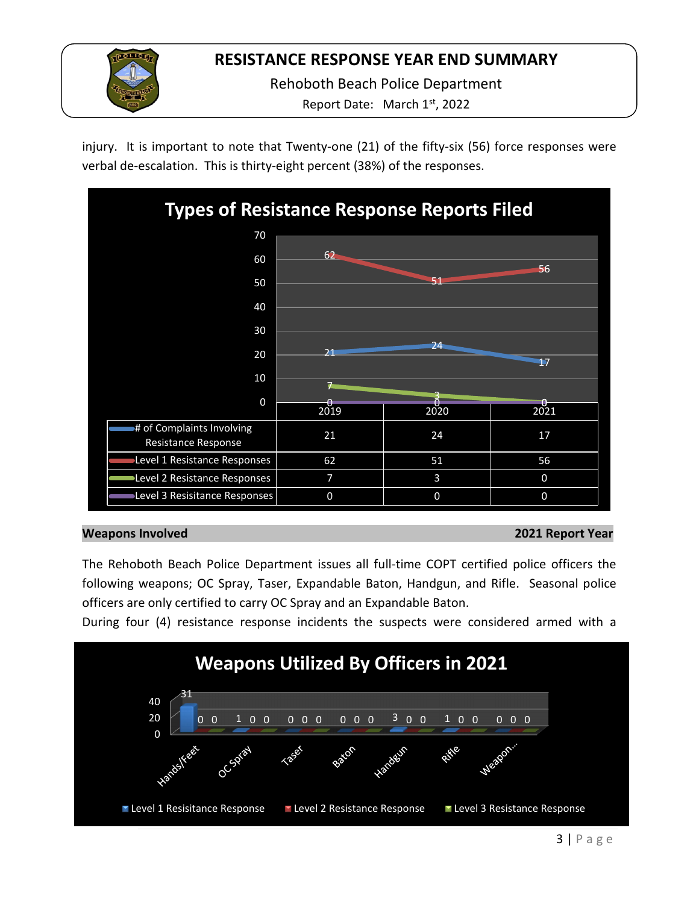

Rehoboth Beach Police Department

Report Date: March 1<sup>st</sup>, 2022

injury. It is important to note that Twenty-one (21) of the fifty-six (56) force responses were verbal de-escalation. This is thirty-eight percent (38%) of the responses.



## **Weapons Involved 2021 Report Year**

The Rehoboth Beach Police Department issues all full-time COPT certified police officers the following weapons; OC Spray, Taser, Expandable Baton, Handgun, and Rifle. Seasonal police officers are only certified to carry OC Spray and an Expandable Baton.

During four (4) resistance response incidents the suspects were considered armed with a

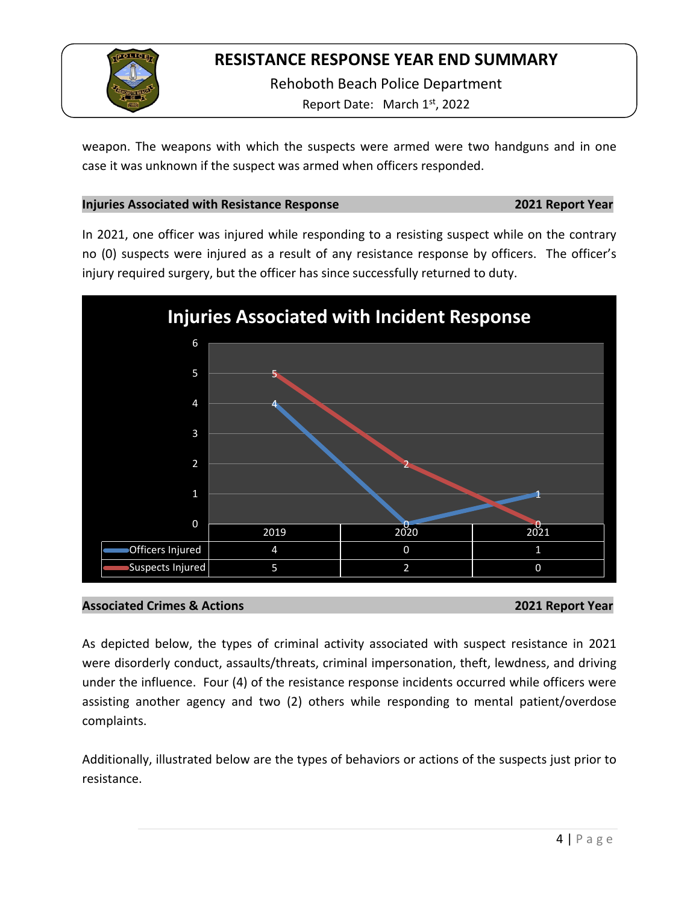

Rehoboth Beach Police Department Report Date: March 1st, 2022

weapon. The weapons with which the suspects were armed were two handguns and in one case it was unknown if the suspect was armed when officers responded.

## **Injuries Associated with Resistance Response 2021 Report Year**

In 2021, one officer was injured while responding to a resisting suspect while on the contrary no (0) suspects were injured as a result of any resistance response by officers. The officer's injury required surgery, but the officer has since successfully returned to duty.



## **Associated Crimes & Actions 2021 Report Year**

As depicted below, the types of criminal activity associated with suspect resistance in 2021 were disorderly conduct, assaults/threats, criminal impersonation, theft, lewdness, and driving under the influence. Four (4) of the resistance response incidents occurred while officers were assisting another agency and two (2) others while responding to mental patient/overdose complaints.

Additionally, illustrated below are the types of behaviors or actions of the suspects just prior to resistance.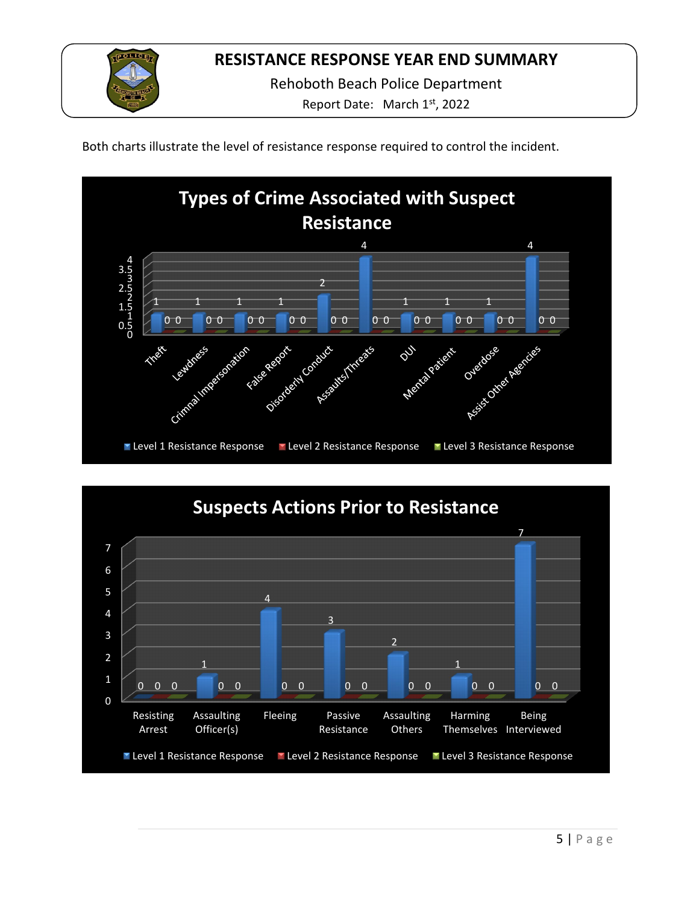

Rehoboth Beach Police Department

Report Date: March 1<sup>st</sup>, 2022

Both charts illustrate the level of resistance response required to control the incident.



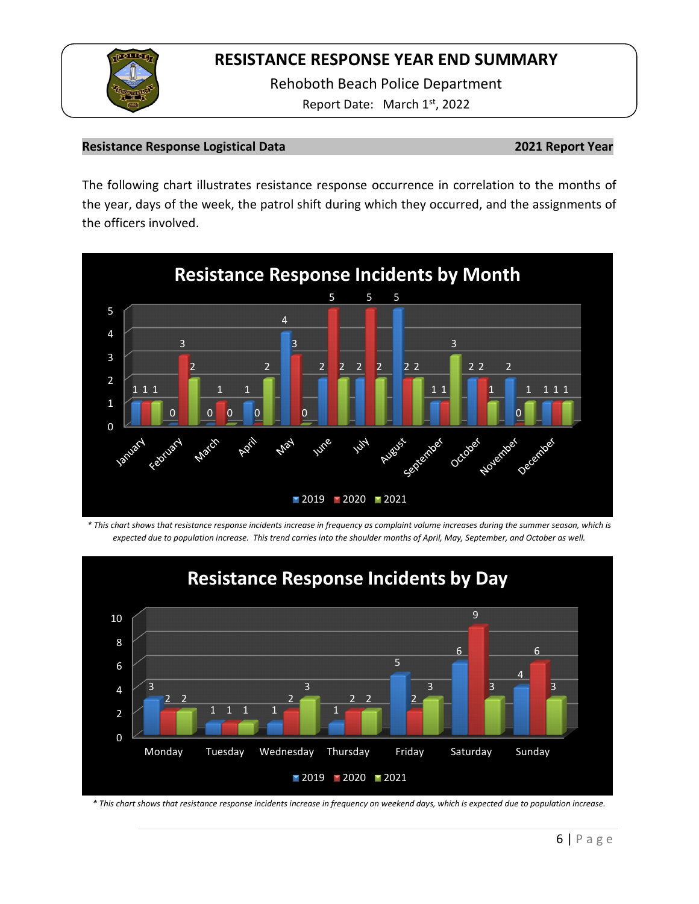

Rehoboth Beach Police Department Report Date: March 1st, 2022

## **Resistance Response Logistical Data 2021 Report Year**

The following chart illustrates resistance response occurrence in correlation to the months of the year, days of the week, the patrol shift during which they occurred, and the assignments of the officers involved.



*\* This chart shows that resistance response incidents increase in frequency as complaint volume increases during the summer season, which is expected due to population increase. This trend carries into the shoulder months of April, May, September, and October as well.* 



*\* This chart shows that resistance response incidents increase in frequency on weekend days, which is expected due to population increase.*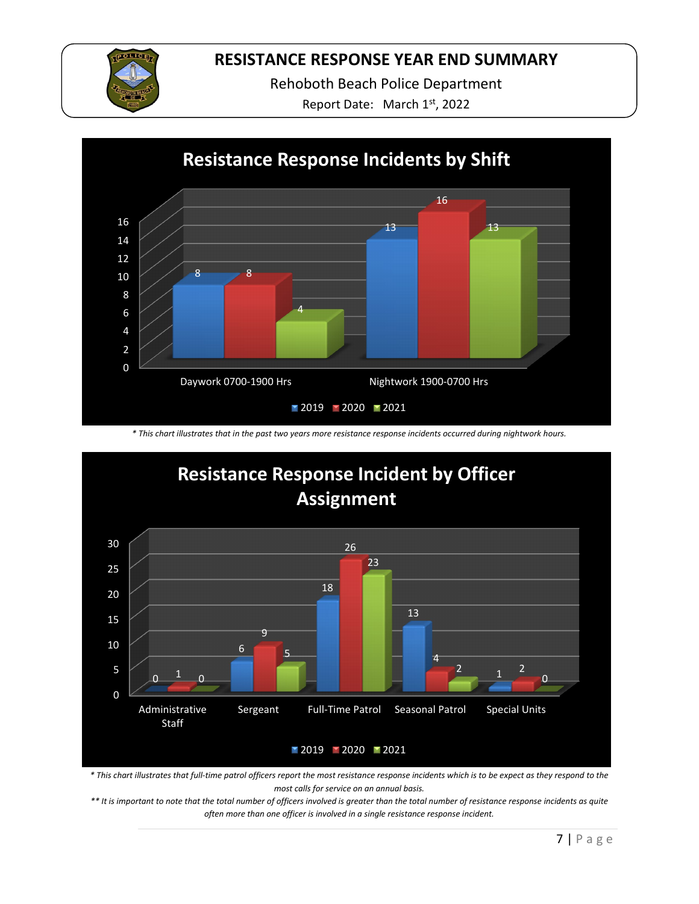

Rehoboth Beach Police Department

Report Date: March 1st, 2022



*\* This chart illustrates that in the past two years more resistance response incidents occurred during nightwork hours.*



*\* This chart illustrates that full-time patrol officers report the most resistance response incidents which is to be expect as they respond to the most calls for service on an annual basis.* 

*\*\* It is important to note that the total number of officers involved is greater than the total number of resistance response incidents as quite often more than one officer is involved in a single resistance response incident.*